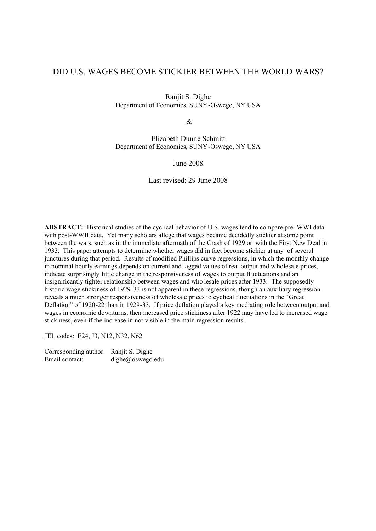# DID U.S. WAGES BECOME STICKIER BETWEEN THE WORLD WARS?

Ranjit S. Dighe Department of Economics, SUNY-Oswego, NY USA

 $\mathcal{R}$ 

Elizabeth Dunne Schmitt Department of Economics, SUNY-Oswego, NY USA

June 2008

Last revised: 29 June 2008

**ABSTRACT:** Historical studies of the cyclical behavior of U.S. wages tend to compare pre -WWI data with post-WWII data. Yet many scholars allege that wages became decidedly stickier at some point between the wars, such as in the immediate aftermath of the Crash of 1929 or with the First New Deal in 1933. This paper attempts to determine whether wages did in fact become stickier at any of several junctures during that period. Results of modified Phillips curve regressions, in which the monthly change in nominal hourly earnings depends on current and lagged values of real output and w holesale prices, indicate surprisingly little change in the responsiveness of wages to output fl uctuations and an insignificantly tighter relationship between wages and who lesale prices after 1933. The supposedly historic wage stickiness of 1929-33 is not apparent in these regressions, though an auxiliary regression reveals a much stronger responsiveness of wholesale prices to cyclical fluctuations in the "Great Deflation" of 1920-22 than in 1929-33. If price deflation played a key mediating role between output and wages in economic downturns, then increased price stickiness after 1922 may have led to increased wage stickiness, even if the increase in not visible in the main regression results.

JEL codes: E24, J3, N12, N32, N62

Corresponding author: Ranjit S. Dighe Email contact: dighe@oswego.edu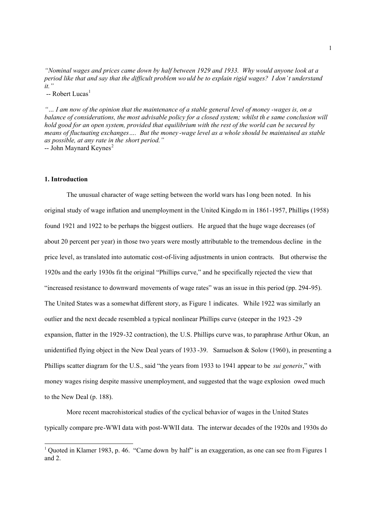*"Nominal wages and prices came down by half between 1929 and 1933. Why would anyone look at a period like that and say that the difficult problem wo uld be to explain rigid wages? I don't understand it."*

 $-$  Robert Lucas<sup>1</sup>

*"… I am now of the opinion that the maintenance of a stable general level of money -wages is, on a balance of considerations, the most advisable policy for a closed system; whilst th e same conclusion will hold good for an open system, provided that equilibrium with the rest of the world can be secured by means of fluctuating exchanges…. But the money -wage level as a whole should be maintained as stable as possible, at any rate in the short period."*  $-$  John Maynard Keynes<sup>2</sup>

#### **1. Introduction**

 $\overline{a}$ 

The unusual character of wage setting between the world wars has l ong been noted. In his original study of wage inflation and unemployment in the United Kingdo m in 1861-1957, Phillips (1958) found 1921 and 1922 to be perhaps the biggest outliers. He argued that the huge wage decreases (of about 20 percent per year) in those two years were mostly attributable to the tremendous decline in the price level, as translated into automatic cost-of-living adjustments in union contracts. But otherwise the 1920s and the early 1930s fit the original "Phillips curve," and he specifically rejected the view that "increased resistance to downward movements of wage rates" was an issue in this period (pp. 294-95). The United States was a somewhat different story, as Figure 1 indicates. While 1922 was similarly an outlier and the next decade resembled a typical nonlinear Phillips curve (steeper in the 1923 -29 expansion, flatter in the 1929-32 contraction), the U.S. Phillips curve was, to paraphrase Arthur Okun, an unidentified flying object in the New Deal years of 1933 -39. Samuelson & Solow (1960), in presenting a Phillips scatter diagram for the U.S., said "the years from 1933 to 1941 appear to be *sui generis*," with money wages rising despite massive unemployment, and suggested that the wage explosion owed much to the New Deal (p. 188).

More recent macrohistorical studies of the cyclical behavior of wages in the United States typically compare pre-WWI data with post-WWII data. The interwar decades of the 1920s and 1930s do

<sup>&</sup>lt;sup>1</sup> Quoted in Klamer 1983, p. 46. "Came down by half" is an exaggeration, as one can see from Figures 1 and 2.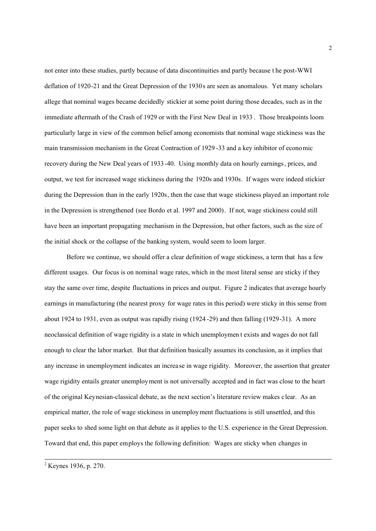not enter into these studies, partly because of data discontinuities and partly because t he post-WWI deflation of 1920-21 and the Great Depression of the 1930s are seen as anomalous. Yet many scholars allege that nominal wages became decidedly stickier at some point during those decades, such as in the immediate aftermath of the Crash of 1929 or with the First New Deal in 1933 . Those breakpoints loom particularly large in view of the common belief among economists that nominal wage stickiness was the main transmission mechanism in the Great Contraction of 1929 -33 and a key inhibitor of economic recovery during the New Deal years of 1933 -40. Using monthly data on hourly earnings, prices, and output, we test for increased wage stickiness during the 1920s and 1930s. If wages were indeed stickier during the Depression than in the early 1920s, then the case that wage stickiness played an important role in the Depression is strengthened (see Bordo et al. 1997 and 2000). If not, wage stickiness could still have been an important propagating mechanism in the Depression, but other factors, such as the size of the initial shock or the collapse of the banking system, would seem to loom larger.

Before we continue, we should offer a clear definition of wage stickiness, a term that has a few different usages. Our focus is on nominal wage rates, which in the most literal sense are sticky if they stay the same over time, despite fluctuations in prices and output. Figure 2 indicates that average hourly earnings in manufacturing (the nearest proxy for wage rates in this period) were sticky in this sense from about 1924 to 1931, even as output was rapidly rising (1924 -29) and then falling (1929-31). A more neoclassical definition of wage rigidity is a state in which unemploymen t exists and wages do not fall enough to clear the labor market. But that definition basically assumes its conclusion, as it implies that any increase in unemployment indicates an increa se in wage rigidity. Moreover, the assertion that greater wage rigidity entails greater unemployment is not universally accepted and in fact was close to the heart of the original Keynesian-classical debate, as the next section's literature review makes clear. As an empirical matter, the role of wage stickiness in unemployment fluctuations is still unsettled, and this paper seeks to shed some light on that debate as it applies to the U.S. experience in the Great Depression. Toward that end, this paper employs the following definition: Wages are sticky when changes in

 $\overline{a}$ 

<sup>&</sup>lt;sup>2</sup> Keynes 1936, p. 270.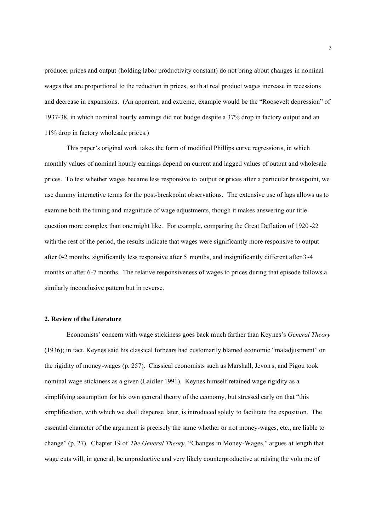producer prices and output (holding labor productivity constant) do not bring about changes in nominal wages that are proportional to the reduction in prices, so th at real product wages increase in recessions and decrease in expansions. (An apparent, and extreme, example would be the "Roosevelt depression" of 1937-38, in which nominal hourly earnings did not budge despite a 37% drop in factory output and an 11% drop in factory wholesale prices.)

This paper's original work takes the form of modified Phillips curve regressions, in which monthly values of nominal hourly earnings depend on current and lagged values of output and wholesale prices. To test whether wages became less responsive to output or prices after a particular breakpoint, we use dummy interactive terms for the post-breakpoint observations. The extensive use of lags allows us to examine both the timing and magnitude of wage adjustments, though it makes answering our title question more complex than one might like. For example, comparing the Great Deflation of 1920 -22 with the rest of the period, the results indicate that wages were significantly more responsive to output after 0-2 months, significantly less responsive after 5 months, and insignificantly different after 3-4 months or after 6-7 months. The relative responsiveness of wages to prices during that episode follows a similarly inconclusive pattern but in reverse.

## **2. Review of the Literature**

Economists' concern with wage stickiness goes back much farther than Keynes's *General Theory* (1936); in fact, Keynes said his classical forbears had customarily blamed economic "maladjustment" on the rigidity of money-wages (p. 257). Classical economists such as Marshall, Jevon s, and Pigou took nominal wage stickiness as a given (Laidler 1991). Keynes himself retained wage rigidity as a simplifying assumption for his own general theory of the economy, but stressed early on that "this simplification, with which we shall dispense later, is introduced solely to facilitate the exposition. The essential character of the argument is precisely the same whether or not money-wages, etc., are liable to change" (p. 27). Chapter 19 of *The General Theory*, "Changes in Money-Wages," argues at length that wage cuts will, in general, be unproductive and very likely counterproductive at raising the volu me of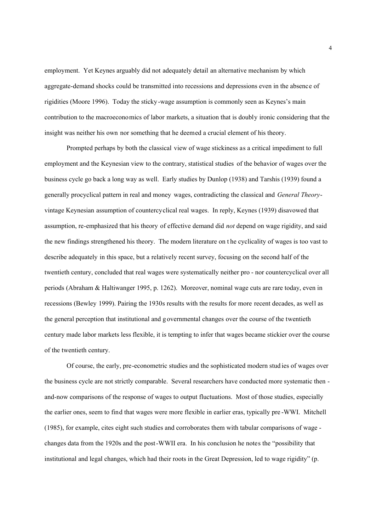employment. Yet Keynes arguably did not adequately detail an alternative mechanism by which aggregate-demand shocks could be transmitted into recessions and depressions even in the absence of rigidities (Moore 1996). Today the sticky-wage assumption is commonly seen as Keynes's main contribution to the macroeconomics of labor markets, a situation that is doubly ironic considering that the insight was neither his own nor something that he deemed a crucial element of his theory.

Prompted perhaps by both the classical view of wage stickiness as a critical impediment to full employment and the Keynesian view to the contrary, statistical studies of the behavior of wages over the business cycle go back a long way as well. Early studies by Dunlop (1938) and Tarshis (1939) found a generally procyclical pattern in real and money wages, contradicting the classical and *General Theory*vintage Keynesian assumption of countercyclical real wages. In reply, Keynes (1939) disavowed that assumption, re-emphasized that his theory of effective demand did *not* depend on wage rigidity, and said the new findings strengthened his theory. The modern literature on t he cyclicality of wages is too vast to describe adequately in this space, but a relatively recent survey, focusing on the second half of the twentieth century, concluded that real wages were systematically neither pro - nor countercyclical over all periods (Abraham & Haltiwanger 1995, p. 1262). Moreover, nominal wage cuts are rare today, even in recessions (Bewley 1999). Pairing the 1930s results with the results for more recent decades, as well as the general perception that institutional and g overnmental changes over the course of the twentieth century made labor markets less flexible, it is tempting to infer that wages became stickier over the course of the twentieth century.

Of course, the early, pre-econometric studies and the sophisticated modern stud ies of wages over the business cycle are not strictly comparable. Several researchers have conducted more systematic then and-now comparisons of the response of wages to output fluctuations. Most of those studies, especially the earlier ones, seem to find that wages were more flexible in earlier eras, typically pre -WWI. Mitchell (1985), for example, cites eight such studies and corroborates them with tabular comparisons of wage changes data from the 1920s and the post-WWII era. In his conclusion he notes the "possibility that institutional and legal changes, which had their roots in the Great Depression, led to wage rigidity" (p.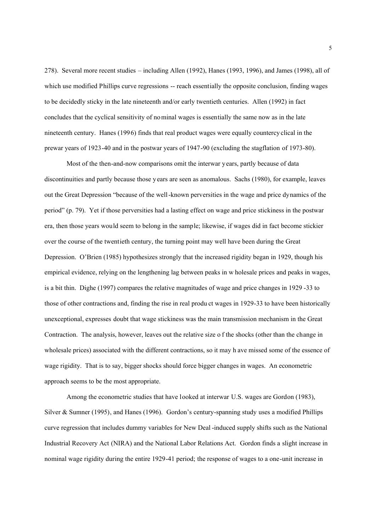278). Several more recent studies – including Allen (1992), Hanes (1993, 1996), and James (1998), all of which use modified Phillips curve regressions -- reach essentially the opposite conclusion, finding wages to be decidedly sticky in the late nineteenth and/or early twentieth centuries. Allen (1992) in fact concludes that the cyclical sensitivity of nominal wages is essentially the same now as in the late nineteenth century. Hanes (1996) finds that real product wages were equally countercy clical in the prewar years of 1923-40 and in the postwar years of 1947-90 (excluding the stagflation of 1973-80).

Most of the then-and-now comparisons omit the interwar years, partly because of data discontinuities and partly because those years are seen as anomalous. Sachs (1980), for example, leaves out the Great Depression "because of the well-known perversities in the wage and price dynamics of the period" (p. 79). Yet if those perversities had a lasting effect on wage and price stickiness in the postwar era, then those years would seem to belong in the sample; likewise, if wages did in fact become stickier over the course of the twentieth century, the turning point may well have been during the Great Depression. O'Brien (1985) hypothesizes strongly that the increased rigidity began in 1929, though his empirical evidence, relying on the lengthening lag between peaks in w holesale prices and peaks in wages, is a bit thin. Dighe (1997) compares the relative magnitudes of wage and price changes in 1929 -33 to those of other contractions and, finding the rise in real produ ct wages in 1929-33 to have been historically unexceptional, expresses doubt that wage stickiness was the main transmission mechanism in the Great Contraction. The analysis, however, leaves out the relative size o f the shocks (other than the change in wholesale prices) associated with the different contractions, so it may h ave missed some of the essence of wage rigidity. That is to say, bigger shocks should force bigger changes in wages. An econometric approach seems to be the most appropriate.

Among the econometric studies that have looked at interwar U.S. wages are Gordon (1983), Silver & Sumner (1995), and Hanes (1996). Gordon's century-spanning study uses a modified Phillips curve regression that includes dummy variables for New Deal -induced supply shifts such as the National Industrial Recovery Act (NIRA) and the National Labor Relations Act. Gordon finds a slight increase in nominal wage rigidity during the entire 1929-41 period; the response of wages to a one-unit increase in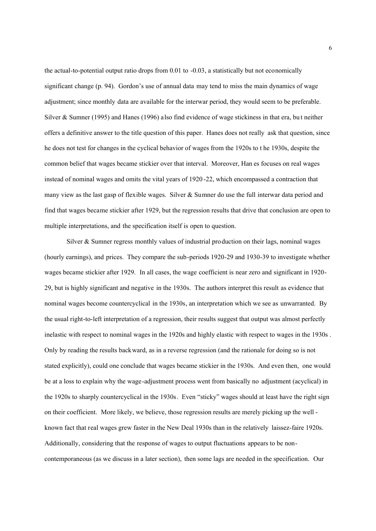the actual-to-potential output ratio drops from 0.01 to -0.03, a statistically but not economically significant change (p. 94). Gordon's use of annual data may tend to miss the main dynamics of wage adjustment; since monthly data are available for the interwar period, they would seem to be preferable. Silver & Sumner (1995) and Hanes (1996) also find evidence of wage stickiness in that era, bu t neither offers a definitive answer to the title question of this paper. Hanes does not really ask that question, since he does not test for changes in the cyclical behavior of wages from the 1920s to t he 1930s, despite the common belief that wages became stickier over that interval. Moreover, Han es focuses on real wages instead of nominal wages and omits the vital years of 1920 -22, which encompassed a contraction that many view as the last gasp of flexible wages. Silver & Sumner do use the full interwar data period and find that wages became stickier after 1929, but the regression results that drive that conclusion are open to multiple interpretations, and the specification itself is open to question.

Silver & Sumner regress monthly values of industrial production on their lags, nominal wages (hourly earnings), and prices. They compare the sub-periods 1920-29 and 1930-39 to investigate whether wages became stickier after 1929. In all cases, the wage coefficient is near zero and significant in 1920- 29, but is highly significant and negative in the 1930s. The authors interpret this result as evidence that nominal wages become countercyclical in the 1930s, an interpretation which we see as unwarranted. By the usual right-to-left interpretation of a regression, their results suggest that output was almost perfectly inelastic with respect to nominal wages in the 1920s and highly elastic with respect to wages in the 1930s . Only by reading the results backward, as in a reverse regression (and the rationale for doing so is not stated explicitly), could one conclude that wages became stickier in the 1930s. And even then, one would be at a loss to explain why the wage-adjustment process went from basically no adjustment (acyclical) in the 1920s to sharply countercyclical in the 1930s. Even "sticky" wages should at least have the right sign on their coefficient. More likely, we believe, those regression results are merely picking up the well known fact that real wages grew faster in the New Deal 1930s than in the relatively laissez-faire 1920s. Additionally, considering that the response of wages to output fluctuations appears to be noncontemporaneous (as we discuss in a later section), then some lags are needed in the specification. Our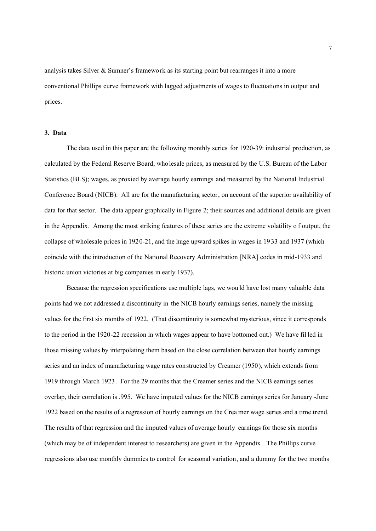analysis takes Silver & Sumner's framework as its starting point but rearranges it into a more conventional Phillips curve framework with lagged adjustments of wages to fluctuations in output and prices.

## **3. Data**

The data used in this paper are the following monthly series for 1920-39: industrial production, as calculated by the Federal Reserve Board; who lesale prices, as measured by the U.S. Bureau of the Labor Statistics (BLS); wages, as proxied by average hourly earnings and measured by the National Industrial Conference Board (NICB). All are for the manufacturing sector, on account of the superior availability of data for that sector. The data appear graphically in Figure 2; their sources and additional details are given in the Appendix. Among the most striking features of these series are the extreme volatility o f output, the collapse of wholesale prices in 1920-21, and the huge upward spikes in wages in 19 33 and 1937 (which coincide with the introduction of the National Recovery Administration [NRA] codes in mid-1933 and historic union victories at big companies in early 1937).

Because the regression specifications use multiple lags, we wou ld have lost many valuable data points had we not addressed a discontinuity in the NICB hourly earnings series, namely the missing values for the first six months of 1922. (That discontinuity is somewhat mysterious, since it corresponds to the period in the 1920-22 recession in which wages appear to have bottomed out.) We have fil led in those missing values by interpolating them based on the close correlation between that hourly earnings series and an index of manufacturing wage rates constructed by Creamer (1950), which extends from 1919 through March 1923. For the 29 months that the Creamer series and the NICB earnings series overlap, their correlation is .995. We have imputed values for the NICB earnings series for January -June 1922 based on the results of a regression of hourly earnings on the Crea mer wage series and a time trend. The results of that regression and the imputed values of average hourly earnings for those six months (which may be of independent interest to researchers) are given in the Appendix. The Phillips curve regressions also use monthly dummies to control for seasonal variation, and a dummy for the two months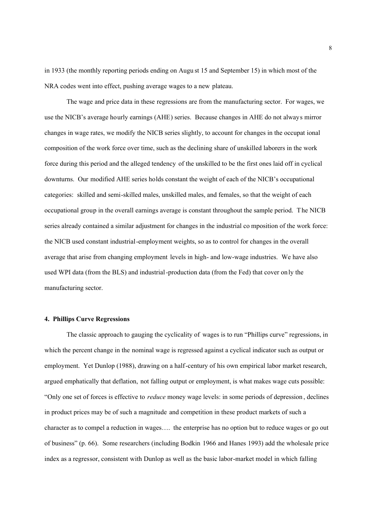in 1933 (the monthly reporting periods ending on Augu st 15 and September 15) in which most of the NRA codes went into effect, pushing average wages to a new plateau.

The wage and price data in these regressions are from the manufacturing sector. For wages, we use the NICB's average hourly earnings (AHE) series. Because changes in AHE do not always mirror changes in wage rates, we modify the NICB series slightly, to account for changes in the occupat ional composition of the work force over time, such as the declining share of unskilled laborers in the work force during this period and the alleged tendency of the unskilled to be the first ones laid off in cyclical downturns. Our modified AHE series holds constant the weight of each of the NICB's occupational categories: skilled and semi-skilled males, unskilled males, and females, so that the weight of each occupational group in the overall earnings average is constant throughout the sample period. The NICB series already contained a similar adjustment for changes in the industrial co mposition of the work force: the NICB used constant industrial-employment weights, so as to control for changes in the overall average that arise from changing employment levels in high- and low-wage industries. We have also used WPI data (from the BLS) and industrial-production data (from the Fed) that cover on ly the manufacturing sector.

### **4. Phillips Curve Regressions**

The classic approach to gauging the cyclicality of wages is to run "Phillips curve" regressions, in which the percent change in the nominal wage is regressed against a cyclical indicator such as output or employment. Yet Dunlop (1988), drawing on a half-century of his own empirical labor market research, argued emphatically that deflation, not falling output or employment, is what makes wage cuts possible: "Only one set of forces is effective to *reduce* money wage levels: in some periods of depression , declines in product prices may be of such a magnitude and competition in these product markets of such a character as to compel a reduction in wages…. the enterprise has no option but to reduce wages or go out of business" (p. 66). Some researchers (including Bodkin 1966 and Hanes 1993) add the wholesale price index as a regressor, consistent with Dunlop as well as the basic labor-market model in which falling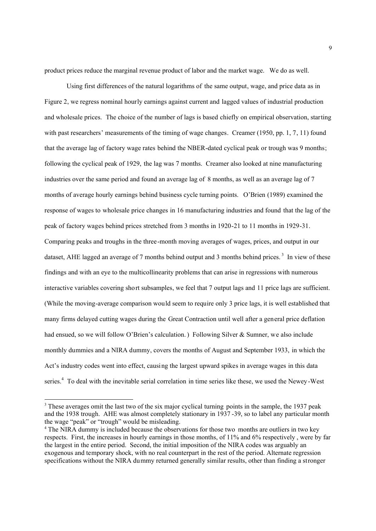product prices reduce the marginal revenue product of labor and the market wage. We do as well.

Using first differences of the natural logarithms of the same output, wage, and price data as in Figure 2, we regress nominal hourly earnings against current and lagged values of industrial production and wholesale prices. The choice of the number of lags is based chiefly on empirical observation, starting with past researchers' measurements of the timing of wage changes. Creamer (1950, pp. 1, 7, 11) found that the average lag of factory wage rates behind the NBER-dated cyclical peak or trough was 9 months; following the cyclical peak of 1929, the lag was 7 months. Creamer also looked at nine manufacturing industries over the same period and found an average lag of 8 months, as well as an average lag of 7 months of average hourly earnings behind business cycle turning points. O'Brien (1989) examined the response of wages to wholesale price changes in 16 manufacturing industries and found that the lag of the peak of factory wages behind prices stretched from 3 months in 1920-21 to 11 months in 1929-31. Comparing peaks and troughs in the three-month moving averages of wages, prices, and output in our dataset, AHE lagged an average of 7 months behind output and 3 months behind prices.<sup>3</sup> In view of these findings and with an eye to the multicollinearity problems that can arise in regressions with numerous interactive variables covering short subsamples, we feel that 7 output lags and 11 price lags are sufficient. (While the moving-average comparison would seem to require only 3 price lags, it is well established that many firms delayed cutting wages during the Great Contraction until well after a general price deflation had ensued, so we will follow O'Brien's calculation.) Following Silver & Sumner, we also include monthly dummies and a NIRA dummy, covers the months of August and September 1933, in which the Act's industry codes went into effect, causing the largest upward spikes in average wages in this data series.<sup>4</sup> To deal with the inevitable serial correlation in time series like these, we used the Newey-West

 $\overline{a}$ 

<sup>&</sup>lt;sup>3</sup> These averages omit the last two of the six major cyclical turning points in the sample, the 1937 peak and the 1938 trough. AHE was almost completely stationary in 1937 -39, so to label any particular month the wage "peak" or "trough" would be misleading.

<sup>&</sup>lt;sup>4</sup> The NIRA dummy is included because the observations for those two months are outliers in two key respects. First, the increases in hourly earnings in those months, of 11% and 6% respectively , were by far the largest in the entire period. Second, the initial imposition of the NIRA codes was arguably an exogenous and temporary shock, with no real counterpart in the rest of the period. Alternate regression specifications without the NIRA dummy returned generally similar results, other than finding a stronger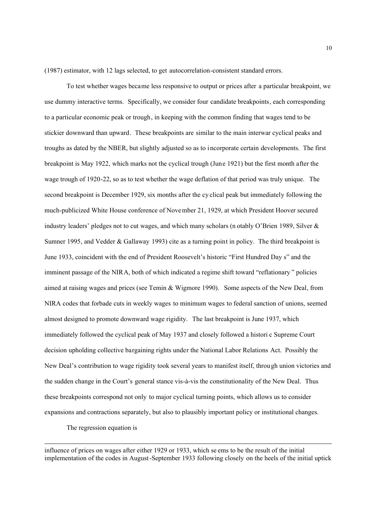(1987) estimator, with 12 lags selected, to get autocorrelation-consistent standard errors.

To test whether wages became less responsive to output or prices after a particular breakpoint, we use dummy interactive terms. Specifically, we consider four candidate breakpoints, each corresponding to a particular economic peak or trough, in keeping with the common finding that wages tend to be stickier downward than upward. These breakpoints are similar to the main interwar cyclical peaks and troughs as dated by the NBER, but slightly adjusted so as to incorporate certain developments. The first breakpoint is May 1922, which marks not the cyclical trough (June 1921) but the first month after the wage trough of 1920-22, so as to test whether the wage deflation of that period was truly unique. The second breakpoint is December 1929, six months after the cy clical peak but immediately following the much-publicized White House conference of November 21, 1929, at which President Hoover secured industry leaders' pledges not to cut wages, and which many scholars (n otably O'Brien 1989, Silver & Sumner 1995, and Vedder & Gallaway 1993) cite as a turning point in policy. The third breakpoint is June 1933, coincident with the end of President Roosevelt's historic "First Hundred Day s" and the imminent passage of the NIRA, both of which indicated a regime shift toward "reflationary " policies aimed at raising wages and prices (see Temin & Wigmore 1990). Some aspects of the New Deal, from NIRA codes that forbade cuts in weekly wages to minimum wages to federal sanction of unions, seemed almost designed to promote downward wage rigidity. The last breakpoint is June 1937, which immediately followed the cyclical peak of May 1937 and closely followed a histori c Supreme Court decision upholding collective bargaining rights under the National Labor Relations Act. Possibly the New Deal's contribution to wage rigidity took several years to manifest itself, through union victories and the sudden change in the Court's general stance vis-à-vis the constitutionality of the New Deal. Thus these breakpoints correspond not only to major cyclical turning points, which allows us to consider expansions and contractions separately, but also to plausibly important policy or institutional changes.

The regression equation is

 $\overline{a}$ 

influence of prices on wages after either 1929 or 1933, which se ems to be the result of the initial implementation of the codes in August-September 1933 following closely on the heels of the initial uptick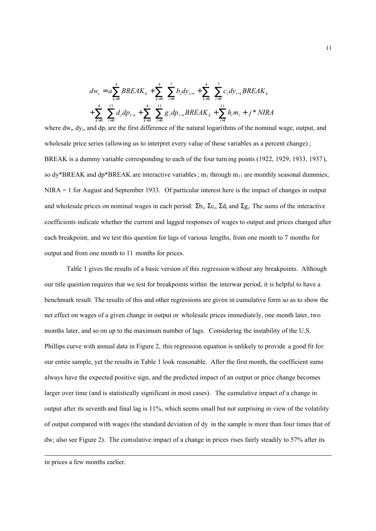$$
dw_{t} = a \sum_{k=0}^{4} BREAK_{k} + \sum_{k=0}^{4} \sum_{i=0}^{7} b_{i} dy_{t-i} + \sum_{k=0}^{4} \sum_{i=0}^{7} c_{i} dy_{t-i} BREAK_{k}
$$

$$
+ \sum_{k=0}^{4} \sum_{i=0}^{11} d_{i} dp_{t-i} + \sum_{k=0}^{4} \sum_{i=0}^{11} g_{i} dp_{t-i} BREAK_{k} + \sum_{i=1}^{11} h_{i} m_{i} + j * NIRA
$$

where  $dw_i$ ,  $dy_i$ , and  $dp_i$  are the first difference of the natural logarithms of the nominal wage, output, and wholesale price series (allowing us to interpret every value of these variables as a percent change) ; BREAK is a dummy variable corresponding to each of the four turn ing points (1922, 1929, 1933, 1937), so  $dy^*BREAK$  and  $dp^*BREAK$  are interactive variables;  $m_1$  through  $m_{11}$  are monthly seasonal dummies; NIRA = 1 for August and September 1933. Of particular interest here is the impact of changes in output and wholesale prices on nominal wages in each period:  $\Sigma b_i$ ,  $\Sigma c_i$ ,  $\Sigma d_i$  and  $\Sigma g_i$ . The sums of the interactive coefficients indicate whether the current and lagged responses of wages to output and prices changed after each breakpoint, and we test this question for lags of various lengths, from one month to 7 months for output and from one month to 11 months for prices.

Table 1 gives the results of a basic version of this regression without any breakpoints. Although our title question requires that we test for breakpoints within the interwar period, it is helpful to have a benchmark result. The results of this and other regressions are given in cumulative form so as to show the net effect on wages of a given change in output or wholesale prices immediately, one month later, two months later, and so on up to the maximum number of lags. Considering the instability of the U.S. Phillips curve with annual data in Figure 2, this regression equation is unlikely to provide a good fit for our entire sample, yet the results in Table 1 look reasonable. After the first month, the coefficient sums always have the expected positive sign, and the predicted impact of an output or price change becomes larger over time (and is statistically significant in most cases). The cumulative impact of a change in output after its seventh and final lag is 11%, which seems small but not surprising in view of the volatility of output compared with wages (the standard deviation of dy in the sample is more than four times that of dw; also see Figure 2). The cumulative impact of a change in prices rises fairly steadily to 57% after its

 $\overline{a}$ 

in prices a few months earlier.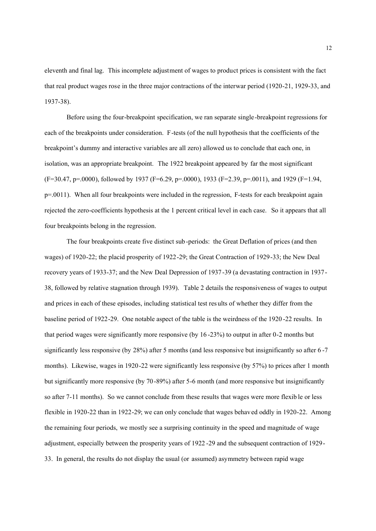eleventh and final lag. This incomplete adjustment of wages to product prices is consistent with the fact that real product wages rose in the three major contractions of the interwar period (1920-21, 1929-33, and 1937-38).

Before using the four-breakpoint specification, we ran separate single-breakpoint regressions for each of the breakpoints under consideration. F-tests (of the null hypothesis that the coefficients of the breakpoint's dummy and interactive variables are all zero) allowed us to conclude that each one, in isolation, was an appropriate breakpoint. The 1922 breakpoint appeared by far the most significant  $(F=30.47, p=.0000)$ , followed by 1937  $(F=6.29, p=.0000)$ , 1933  $(F=2.39, p=.0011)$ , and 1929  $(F=1.94, p=.0000)$  $p=0011$ ). When all four breakpoints were included in the regression, F-tests for each breakpoint again rejected the zero-coefficients hypothesis at the 1 percent critical level in each case. So it appears that all four breakpoints belong in the regression.

The four breakpoints create five distinct sub -periods: the Great Deflation of prices (and then wages) of 1920-22; the placid prosperity of 1922-29; the Great Contraction of 1929-33; the New Deal recovery years of 1933-37; and the New Deal Depression of 1937-39 (a devastating contraction in 1937- 38, followed by relative stagnation through 1939). Table 2 details the responsiveness of wages to output and prices in each of these episodes, including statistical test res ults of whether they differ from the baseline period of 1922-29. One notable aspect of the table is the weirdness of the 1920 -22 results. In that period wages were significantly more responsive (by 16 -23%) to output in after 0-2 months but significantly less responsive (by 28%) after 5 months (and less responsive but insignificantly so after 6 -7 months). Likewise, wages in 1920-22 were significantly less responsive (by 57%) to prices after 1 month but significantly more responsive (by 70-89%) after 5-6 month (and more responsive but insignificantly so after 7-11 months). So we cannot conclude from these results that wages were more flexib le or less flexible in 1920-22 than in 1922-29; we can only conclude that wages behaved oddly in 1920-22. Among the remaining four periods, we mostly see a surprising continuity in the speed and magnitude of wage adjustment, especially between the prosperity years of 1922 -29 and the subsequent contraction of 1929- 33. In general, the results do not display the usual (or assumed) asymmetry between rapid wage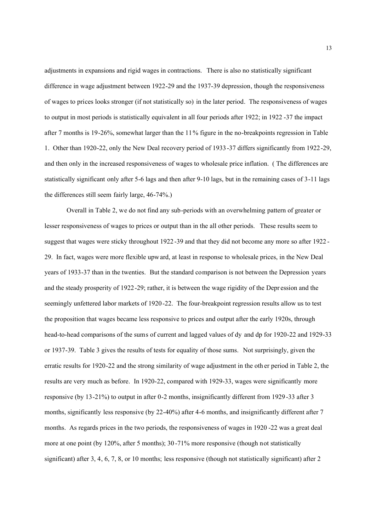adjustments in expansions and rigid wages in contractions. There is also no statistically significant difference in wage adjustment between 1922-29 and the 1937-39 depression, though the responsiveness of wages to prices looks stronger (if not statistically so) in the later period. The responsiveness of wages to output in most periods is statistically equivalent in all four periods after 1922; in 1922 -37 the impact after 7 months is 19-26%, somewhat larger than the 11% figure in the no-breakpoints regression in Table 1. Other than 1920-22, only the New Deal recovery period of 1933-37 differs significantly from 1922-29, and then only in the increased responsiveness of wages to wholesale price inflation. ( The differences are statistically significant only after 5-6 lags and then after 9-10 lags, but in the remaining cases of 3-11 lags the differences still seem fairly large, 46-74%.)

Overall in Table 2, we do not find any sub-periods with an overwhelming pattern of greater or lesser responsiveness of wages to prices or output than in the all other periods. These results seem to suggest that wages were sticky throughout 1922 -39 and that they did not become any more so after 1922 - 29. In fact, wages were more flexible upward, at least in response to wholesale prices, in the New Deal years of 1933-37 than in the twenties. But the standard comparison is not between the Depression years and the steady prosperity of 1922-29; rather, it is between the wage rigidity of the Depr ession and the seemingly unfettered labor markets of 1920-22. The four-breakpoint regression results allow us to test the proposition that wages became less responsive to prices and output after the early 1920s, through head-to-head comparisons of the sums of current and lagged values of dy and dp for 1920-22 and 1929-33 or 1937-39. Table 3 gives the results of tests for equality of those sums. Not surprisingly, given the erratic results for 1920-22 and the strong similarity of wage adjustment in the oth er period in Table 2, the results are very much as before. In 1920-22, compared with 1929-33, wages were significantly more responsive (by 13-21%) to output in after 0-2 months, insignificantly different from 1929 -33 after 3 months, significantly less responsive (by 22-40%) after 4-6 months, and insignificantly different after 7 months. As regards prices in the two periods, the responsiveness of wages in 1920 -22 was a great deal more at one point (by 120%, after 5 months); 30 -71% more responsive (though not statistically significant) after 3, 4, 6, 7, 8, or 10 months; less responsive (though not statistically significant) after 2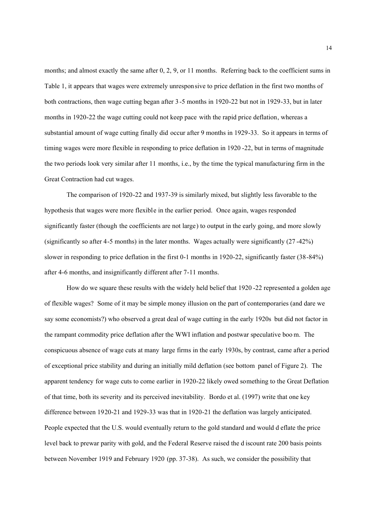months; and almost exactly the same after 0, 2, 9, or 11 months. Referring back to the coefficient sums in Table 1, it appears that wages were extremely unresponsive to price deflation in the first two months of both contractions, then wage cutting began after 3 -5 months in 1920-22 but not in 1929-33, but in later months in 1920-22 the wage cutting could not keep pace with the rapid price deflation, whereas a substantial amount of wage cutting finally did occur after 9 months in 1929-33. So it appears in terms of timing wages were more flexible in responding to price deflation in 1920 -22, but in terms of magnitude the two periods look very similar after 11 months, i.e., by the time the typical manufacturing firm in the Great Contraction had cut wages.

The comparison of 1920-22 and 1937-39 is similarly mixed, but slightly less favorable to the hypothesis that wages were more flexible in the earlier period. Once again, wages responded significantly faster (though the coefficients are not large) to output in the early going, and more slowly (significantly so after 4-5 months) in the later months. Wages actually were significantly (27 -42%) slower in responding to price deflation in the first 0-1 months in 1920-22, significantly faster (38-84%) after 4-6 months, and insignificantly different after 7-11 months.

How do we square these results with the widely held belief that 1920 -22 represented a golden age of flexible wages? Some of it may be simple money illusion on the part of contemporaries (and dare we say some economists?) who observed a great deal of wage cutting in the early 1920s but did not factor in the rampant commodity price deflation after the WWI inflation and postwar speculative boo m. The conspicuous absence of wage cuts at many large firms in the early 1930s, by contrast, came after a period of exceptional price stability and during an initially mild deflation (see bottom panel of Figure 2). The apparent tendency for wage cuts to come earlier in 1920-22 likely owed something to the Great Deflation of that time, both its severity and its perceived inevitability. Bordo et al. (1997) write that one key difference between 1920-21 and 1929-33 was that in 1920-21 the deflation was largely anticipated. People expected that the U.S. would eventually return to the gold standard and would d eflate the price level back to prewar parity with gold, and the Federal Reserve raised the d iscount rate 200 basis points between November 1919 and February 1920 (pp. 37-38). As such, we consider the possibility that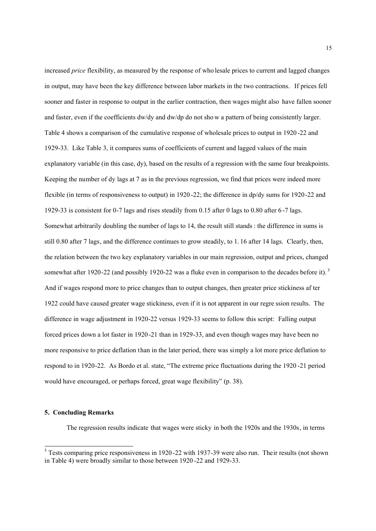increased *price* flexibility, as measured by the response of who lesale prices to current and lagged changes in output, may have been the key difference between labor markets in the two contractions. If prices fell sooner and faster in response to output in the earlier contraction, then wages might also have fallen sooner and faster, even if the coefficients dw/dy and dw/dp do not sho w a pattern of being consistently larger. Table 4 shows a comparison of the cumulative response of wholesale prices to output in 1920 -22 and 1929-33. Like Table 3, it compares sums of coefficients of current and lagged values of the main explanatory variable (in this case, dy), based on the results of a regression with the same four breakpoints. Keeping the number of dy lags at 7 as in the previous regression, we find that prices were indeed more flexible (in terms of responsiveness to output) in 1920 -22; the difference in dp/dy sums for 1920-22 and 1929-33 is consistent for 0-7 lags and rises steadily from 0.15 after 0 lags to 0.80 after 6 -7 lags. Somewhat arbitrarily doubling the number of lags to 14, the result still stands : the difference in sums is still 0.80 after 7 lags, and the difference continues to grow steadily, to 1. 16 after 14 lags. Clearly, then, the relation between the two key explanatory variables in our main regression, output and prices, changed somewhat after 1920-22 (and possibly 1920-22 was a fluke even in comparison to the decades before it).<sup>5</sup> And if wages respond more to price changes than to output changes, then greater price stickiness af ter 1922 could have caused greater wage stickiness, even if it is not apparent in our regre ssion results. The difference in wage adjustment in 1920-22 versus 1929-33 seems to follow this script: Falling output forced prices down a lot faster in 1920-21 than in 1929-33, and even though wages may have been no more responsive to price deflation than in the later period, there was simply a lot more price deflation to respond to in 1920-22. As Bordo et al. state, "The extreme price fluctuations during the 1920 -21 period would have encouraged, or perhaps forced, great wage flexibility" (p. 38).

#### **5. Concluding Remarks**

 $\overline{a}$ 

The regression results indicate that wages were sticky in both the 1920s and the 1930s, in terms

<sup>&</sup>lt;sup>5</sup> Tests comparing price responsiveness in 1920-22 with 1937-39 were also run. Their results (not shown in Table 4) were broadly similar to those between 1920 -22 and 1929-33.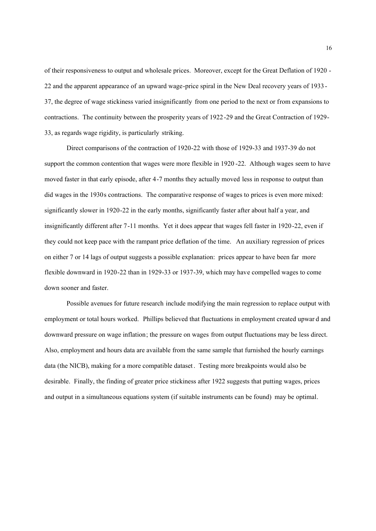of their responsiveness to output and wholesale prices. Moreover, except for the Great Deflation of 1920 - 22 and the apparent appearance of an upward wage-price spiral in the New Deal recovery years of 1933 - 37, the degree of wage stickiness varied insignificantly from one period to the next or from expansions to contractions. The continuity between the prosperity years of 1922-29 and the Great Contraction of 1929- 33, as regards wage rigidity, is particularly striking.

Direct comparisons of the contraction of 1920-22 with those of 1929-33 and 1937-39 do not support the common contention that wages were more flexible in 1920 -22. Although wages seem to have moved faster in that early episode, after 4-7 months they actually moved less in response to output than did wages in the 1930s contractions. The comparative response of wages to prices is even more mixed: significantly slower in 1920-22 in the early months, significantly faster after about half a year, and insignificantly different after 7-11 months. Yet it does appear that wages fell faster in 1920-22, even if they could not keep pace with the rampant price deflation of the time. An auxiliary regression of prices on either 7 or 14 lags of output suggests a possible explanation: prices appear to have been far more flexible downward in 1920-22 than in 1929-33 or 1937-39, which may have compelled wages to come down sooner and faster.

Possible avenues for future research include modifying the main regression to replace output with employment or total hours worked. Phillips believed that fluctuations in employment created upwar d and downward pressure on wage inflation; the pressure on wages from output fluctuations may be less direct. Also, employment and hours data are available from the same sample that furnished the hourly earnings data (the NICB), making for a more compatible dataset. Testing more breakpoints would also be desirable. Finally, the finding of greater price stickiness after 1922 suggests that putting wages, prices and output in a simultaneous equations system (if suitable instruments can be found) may be optimal.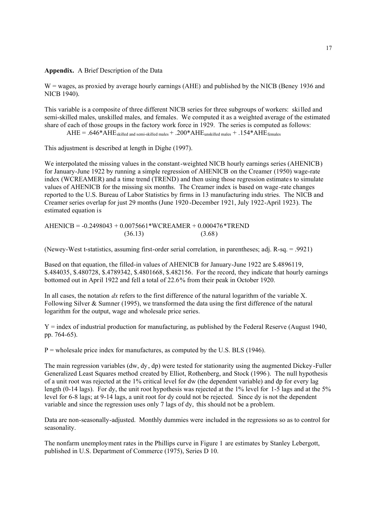### **Appendix.** A Brief Description of the Data

W = wages, as proxied by average hourly earnings (AHE) and published by the NICB (Beney 1936 and NICB 1940).

This variable is a composite of three different NICB series for three subgroups of workers: skilled and semi-skilled males, unskilled males, and females. We computed it as a weighted average of the estimated share of each of those groups in the factory work force in 1929. The series is computed as follows:

 $AHE = .646*AHE$ <sub>skilled and semi-skilled males</sub> + .200\* $AHE$ <sub>unskilled males</sub> + .154\* $AHE$ <sub>females</sub>

This adjustment is described at length in Dighe (1997).

We interpolated the missing values in the constant-weighted NICB hourly earnings series (AHENICB) for January-June 1922 by running a simple regression of AHENICB on the Creamer (1950) wage-rate index (WCREAMER) and a time trend (TREND) and then using those regression estimates to simulate values of AHENICB for the missing six months. The Creamer index is based on wage-rate changes reported to the U.S. Bureau of Labor Statistics by firms in 13 manufacturing indu stries. The NICB and Creamer series overlap for just 29 months (June 1920 -December 1921, July 1922-April 1923). The estimated equation is

AHENICB = -0.2498043 + 0.0075661\*WCREAMER + 0.000476\*TREND  $(36.13)$   $(3.68)$ 

(Newey-West t-statistics, assuming first-order serial correlation, in parentheses; adj. R-sq. = .9921)

Based on that equation, the filled-in values of AHENICB for January-June 1922 are \$.4896119, \$.484035, \$.480728, \$.4789342, \$.4801668, \$.482156. For the record, they indicate that hourly earnings bottomed out in April 1922 and fell a total of 22.6% from their peak in October 1920.

In all cases, the notation *dx* refers to the first difference of the natural logarithm of the variable X. Following Silver  $\&$  Sumner (1995), we transformed the data using the first difference of the natural logarithm for the output, wage and wholesale price series.

 $Y =$  index of industrial production for manufacturing, as published by the Federal Reserve (August 1940, pp. 764-65).

 $P =$  wholesale price index for manufactures, as computed by the U.S. BLS (1946).

The main regression variables (dw, dy, dp) were tested for stationarity using the augmented Dickey -Fuller Generalized Least Squares method created by Elliot, Rothenberg, and Stock (1996 ). The null hypothesis of a unit root was rejected at the 1% critical level for dw (the dependent variable) and dp for every lag length (0-14 lags). For dy, the unit root hypothesis was rejected at the 1% level for 1-5 lags and at the 5% level for 6-8 lags; at 9-14 lags, a unit root for dy could not be rejected. Since dy is not the dependent variable and since the regression uses only 7 lags of dy, this should not be a problem.

Data are non-seasonally-adjusted. Monthly dummies were included in the regressions so as to control for seasonality.

The nonfarm unemployment rates in the Phillips curve in Figure 1 are estimates by Stanley Lebergott, published in U.S. Department of Commerce (1975), Series D 10.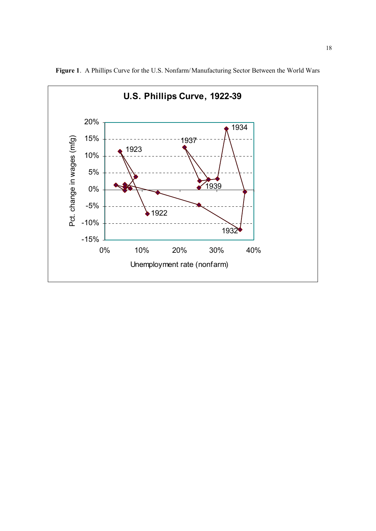

**Figure 1**. A Phillips Curve for the U.S. Nonfarm/Manufacturing Sector Between the World Wars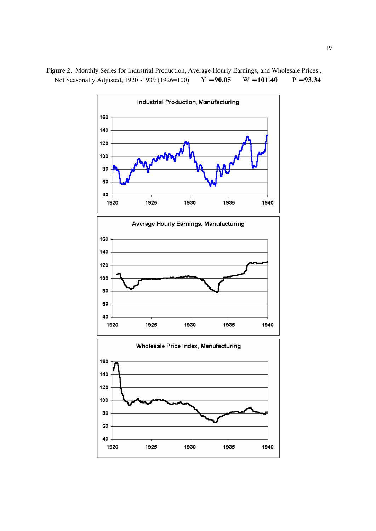Industrial Production, Manufacturing Average Hourly Earnings, Manufacturing Wholesale Price Index, Manufacturing 

**Figure 2**. Monthly Series for Industrial Production, Average Hourly Earnings, and Wholesale Prices , Not Seasonally Adjusted, 1920 -1939 (1926=100)  $\overline{Y} = 90.05$   $\overline{W} = 101.40$   $\overline{P} = 93.34$ Not Seasonally Adjusted, 1920 -1939 (1926=100)  $\overline{Y} = 90.05$   $\overline{W} = 101.40$   $\overline{P} = 93.34$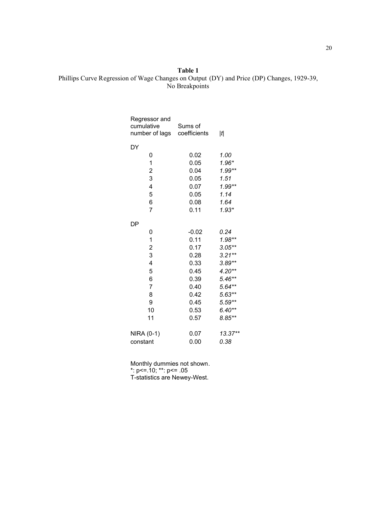# **Table 1** Phillips Curve Regression of Wage Changes on Output (DY) and Price (DP) Changes, 1929-39, No Breakpoints

| Regressor and<br>cumulative<br>number of lags   | Sums of<br>coefficients | t                                            |
|-------------------------------------------------|-------------------------|----------------------------------------------|
| DY                                              |                         |                                              |
| 0                                               | 0.02                    | 1.00                                         |
| 1                                               | 0.05                    | $1.96*$                                      |
| $\overline{c}$                                  | 0.04                    | $1.99**$                                     |
| 3                                               | 0.05                    | 1.51                                         |
| 4                                               | 0.07                    | $1.99**$                                     |
| 5                                               | 0.05                    | 1.14                                         |
| 6                                               | 0.08                    | 1.64                                         |
| $\overline{7}$                                  | 0.11                    | $1.93*$                                      |
| DP                                              |                         |                                              |
| 0                                               | $-0.02$                 | 0.24                                         |
| 1                                               | 0.11                    | $1.98**$                                     |
| $\overline{\mathbf{c}}$                         | 0.17                    | $3.05**$                                     |
| 3                                               | 0.28                    | $3.21**$                                     |
|                                                 |                         |                                              |
|                                                 |                         |                                              |
|                                                 | 0.39                    |                                              |
| $\overline{7}$                                  | 0.40                    | $5.64**$                                     |
| 8                                               | 0.42                    | $5.63**$                                     |
| 9                                               | 0.45                    |                                              |
| 10                                              | 0.53                    | $6.40**$                                     |
| 11                                              | 0.57                    | $8.85**$                                     |
|                                                 |                         | 13.37**                                      |
| constant                                        | 0.00                    | 0.38                                         |
| $\overline{\mathbf{4}}$<br>5<br>6<br>NIRA (0-1) | 0.33<br>0.45<br>0.07    | $3.89**$<br>$4.20**$<br>$5.46**$<br>$5.59**$ |

Monthly dummies not shown.

\*: p<=.10; \*\*: p<= .05

T-statistics are Newey-West.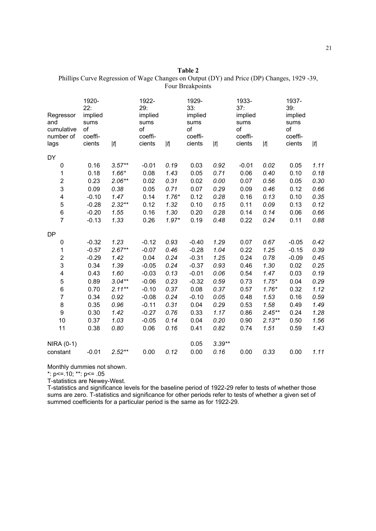| Table 2                                                                                    |  |  |  |  |  |  |
|--------------------------------------------------------------------------------------------|--|--|--|--|--|--|
| Phillips Curve Regression of Wage Changes on Output (DY) and Price (DP) Changes, 1929 -39, |  |  |  |  |  |  |
| Four Breakpoints                                                                           |  |  |  |  |  |  |

| Regressor<br>and<br>cumulative<br>number of<br>lags | 1920-<br>22:<br>implied<br>sums<br>of<br>coeffi-<br>cients | $[t] % \begin{center} % \includegraphics[width=\linewidth]{imagesSupplemental_3.png} % \end{center} % \caption { % \textit{DefNet} of \textit{DefNet} and \textit{DefNet} and \textit{DefNet} and \textit{DefNet} and \textit{DefNet} are used to be used. % \textit{DefNet} is used to be used. % \textit{DefNet} is used to be used. % \textit{DefNet} is used to be used. % \textit{DefNet} is used to be used. % \textit{DefNet} is used to be used. % \textit{DefNet} is used to be used. % \textit{DefNet} is used to be used. % \textit{DefNet} is used to be used. % \textit{DefNet} is used to be used. % \textit{$ | 1922-<br>29:<br>implied<br>sums<br>of<br>coeffi-<br>cients | $[t] % \begin{center} % \includegraphics[width=\linewidth]{imagesSupplemental_3.png} % \end{center} % \caption { % \textit{DefNet} of \textit{DefNet} and \textit{DefNet} and \textit{DefNet} and \textit{DefNet} and \textit{DefNet} are used to be used. % \textit{DefNet} is used to be used. % \textit{DefNet} is used to be used. % \textit{DefNet} is used to be used. % \textit{DefNet} is used to be used. % \textit{DefNet} is used to be used. % \textit{DefNet} is used to be used. % \textit{DefNet} is used to be used. % \textit{DefNet} is used to be used. % \textit{DefNet} is used to be used. % \textit{$ | 1929-<br>33:<br>implied<br>sums<br>of<br>coeffi-<br>cients | $\left  t\right $ | 1933-<br>37:<br>implied<br>sums<br>of<br>coeffi-<br>cients | t         | 1937-<br>39:<br>implied<br>sums<br>of<br>coeffi-<br>cients | $ t $ |
|-----------------------------------------------------|------------------------------------------------------------|------------------------------------------------------------------------------------------------------------------------------------------------------------------------------------------------------------------------------------------------------------------------------------------------------------------------------------------------------------------------------------------------------------------------------------------------------------------------------------------------------------------------------------------------------------------------------------------------------------------------------|------------------------------------------------------------|------------------------------------------------------------------------------------------------------------------------------------------------------------------------------------------------------------------------------------------------------------------------------------------------------------------------------------------------------------------------------------------------------------------------------------------------------------------------------------------------------------------------------------------------------------------------------------------------------------------------------|------------------------------------------------------------|-------------------|------------------------------------------------------------|-----------|------------------------------------------------------------|-------|
| DY                                                  |                                                            |                                                                                                                                                                                                                                                                                                                                                                                                                                                                                                                                                                                                                              |                                                            |                                                                                                                                                                                                                                                                                                                                                                                                                                                                                                                                                                                                                              |                                                            |                   |                                                            |           |                                                            |       |
| 0                                                   | 0.16                                                       | $3.57**$                                                                                                                                                                                                                                                                                                                                                                                                                                                                                                                                                                                                                     | $-0.01$                                                    | 0.19                                                                                                                                                                                                                                                                                                                                                                                                                                                                                                                                                                                                                         | 0.03                                                       | 0.92              | $-0.01$                                                    | 0.02      | 0.05                                                       | 1.11  |
| 1                                                   | 0.18                                                       | $1.66*$                                                                                                                                                                                                                                                                                                                                                                                                                                                                                                                                                                                                                      | 0.08                                                       | 1.43                                                                                                                                                                                                                                                                                                                                                                                                                                                                                                                                                                                                                         | 0.05                                                       | 0.71              | 0.06                                                       | 0.40      | 0.10                                                       | 0.18  |
| $\overline{c}$                                      | 0.23                                                       | $2.06**$                                                                                                                                                                                                                                                                                                                                                                                                                                                                                                                                                                                                                     | 0.02                                                       | 0.31                                                                                                                                                                                                                                                                                                                                                                                                                                                                                                                                                                                                                         | 0.02                                                       | 0.00              | 0.07                                                       | 0.56      | 0.05                                                       | 0.30  |
| 3                                                   | 0.09                                                       | 0.38                                                                                                                                                                                                                                                                                                                                                                                                                                                                                                                                                                                                                         | 0.05                                                       | 0.71                                                                                                                                                                                                                                                                                                                                                                                                                                                                                                                                                                                                                         | 0.07                                                       | 0.29              | 0.09                                                       | 0.46      | 0.12                                                       | 0.66  |
| $\overline{\mathbf{4}}$                             | $-0.10$                                                    | 1.47                                                                                                                                                                                                                                                                                                                                                                                                                                                                                                                                                                                                                         | 0.14                                                       | $1.76*$                                                                                                                                                                                                                                                                                                                                                                                                                                                                                                                                                                                                                      | 0.12                                                       | 0.28              | 0.16                                                       | 0.13      | 0.10                                                       | 0.35  |
| 5                                                   | $-0.28$                                                    | $2.32**$                                                                                                                                                                                                                                                                                                                                                                                                                                                                                                                                                                                                                     | 0.12                                                       | 1.32                                                                                                                                                                                                                                                                                                                                                                                                                                                                                                                                                                                                                         | 0.10                                                       | 0.15              | 0.11                                                       | 0.09      | 0.13                                                       | 0.12  |
| 6                                                   | $-0.20$                                                    | 1.55                                                                                                                                                                                                                                                                                                                                                                                                                                                                                                                                                                                                                         | 0.16                                                       | 1.30                                                                                                                                                                                                                                                                                                                                                                                                                                                                                                                                                                                                                         | 0.20                                                       | 0.28              | 0.14                                                       | 0.14      | 0.06                                                       | 0.66  |
| $\overline{7}$                                      | $-0.13$                                                    | 1.33                                                                                                                                                                                                                                                                                                                                                                                                                                                                                                                                                                                                                         | 0.26                                                       | $1.97*$                                                                                                                                                                                                                                                                                                                                                                                                                                                                                                                                                                                                                      | 0.19                                                       | 0.48              | 0.22                                                       | 0.24      | 0.11                                                       | 0.88  |
| <b>DP</b>                                           |                                                            |                                                                                                                                                                                                                                                                                                                                                                                                                                                                                                                                                                                                                              |                                                            |                                                                                                                                                                                                                                                                                                                                                                                                                                                                                                                                                                                                                              |                                                            |                   |                                                            |           |                                                            |       |
| 0                                                   | $-0.32$                                                    | 1.23                                                                                                                                                                                                                                                                                                                                                                                                                                                                                                                                                                                                                         | $-0.12$                                                    | 0.93                                                                                                                                                                                                                                                                                                                                                                                                                                                                                                                                                                                                                         | $-0.40$                                                    | 1.29              | 0.07                                                       | 0.67      | $-0.05$                                                    | 0.42  |
| 1                                                   | $-0.57$                                                    | $2.67**$                                                                                                                                                                                                                                                                                                                                                                                                                                                                                                                                                                                                                     | $-0.07$                                                    | 0.46                                                                                                                                                                                                                                                                                                                                                                                                                                                                                                                                                                                                                         | $-0.28$                                                    | 1.04              | 0.22                                                       | 1.25      | $-0.15$                                                    | 0.39  |
| $\overline{\mathbf{c}}$                             | $-0.29$                                                    | 1.42                                                                                                                                                                                                                                                                                                                                                                                                                                                                                                                                                                                                                         | 0.04                                                       | 0.24                                                                                                                                                                                                                                                                                                                                                                                                                                                                                                                                                                                                                         | $-0.31$                                                    | 1.25              | 0.24                                                       | 0.78      | $-0.09$                                                    | 0.45  |
| 3                                                   | 0.34                                                       | 1.39                                                                                                                                                                                                                                                                                                                                                                                                                                                                                                                                                                                                                         | $-0.05$                                                    | 0.24                                                                                                                                                                                                                                                                                                                                                                                                                                                                                                                                                                                                                         | $-0.37$                                                    | 0.93              | 0.46                                                       | 1.30      | 0.02                                                       | 0.25  |
| $\overline{\mathbf{4}}$                             | 0.43                                                       | 1.60                                                                                                                                                                                                                                                                                                                                                                                                                                                                                                                                                                                                                         | $-0.03$                                                    | 0.13                                                                                                                                                                                                                                                                                                                                                                                                                                                                                                                                                                                                                         | $-0.01$                                                    | 0.06              | 0.54                                                       | 1.47      | 0.03                                                       | 0.19  |
| 5                                                   | 0.89                                                       | $3.04**$                                                                                                                                                                                                                                                                                                                                                                                                                                                                                                                                                                                                                     | $-0.06$                                                    | 0.23                                                                                                                                                                                                                                                                                                                                                                                                                                                                                                                                                                                                                         | $-0.32$                                                    | 0.59              | 0.73                                                       | $1.75*$   | 0.04                                                       | 0.29  |
| 6                                                   | 0.70                                                       | $2.11**$                                                                                                                                                                                                                                                                                                                                                                                                                                                                                                                                                                                                                     | $-0.10$                                                    | 0.37                                                                                                                                                                                                                                                                                                                                                                                                                                                                                                                                                                                                                         | 0.08                                                       | 0.37              | 0.57                                                       | $1.76*$   | 0.32                                                       | 1.12  |
| $\overline{7}$                                      | 0.34                                                       | 0.92                                                                                                                                                                                                                                                                                                                                                                                                                                                                                                                                                                                                                         | $-0.08$                                                    | 0.24                                                                                                                                                                                                                                                                                                                                                                                                                                                                                                                                                                                                                         | $-0.10$                                                    | 0.05              | 0.48                                                       | 1.53      | 0.16                                                       | 0.59  |
| 8                                                   | 0.35                                                       | 0.96                                                                                                                                                                                                                                                                                                                                                                                                                                                                                                                                                                                                                         | $-0.11$                                                    | 0.31                                                                                                                                                                                                                                                                                                                                                                                                                                                                                                                                                                                                                         | 0.04                                                       | 0.29              | 0.53                                                       | 1.58      | 0.49                                                       | 1.49  |
| 9                                                   | 0.30                                                       | 1.42                                                                                                                                                                                                                                                                                                                                                                                                                                                                                                                                                                                                                         | $-0.27$                                                    | 0.76                                                                                                                                                                                                                                                                                                                                                                                                                                                                                                                                                                                                                         | 0.33                                                       | 1.17              | 0.86                                                       | $2.45**$  | 0.24                                                       | 1.28  |
| 10                                                  | 0.37                                                       | 1.03                                                                                                                                                                                                                                                                                                                                                                                                                                                                                                                                                                                                                         | $-0.05$                                                    | 0.14                                                                                                                                                                                                                                                                                                                                                                                                                                                                                                                                                                                                                         | 0.04                                                       | 0.20              | 0.90                                                       | $2.13***$ | 0.50                                                       | 1.56  |
| 11                                                  | 0.38                                                       | 0.80                                                                                                                                                                                                                                                                                                                                                                                                                                                                                                                                                                                                                         | 0.06                                                       | 0.16                                                                                                                                                                                                                                                                                                                                                                                                                                                                                                                                                                                                                         | 0.41                                                       | 0.82              | 0.74                                                       | 1.51      | 0.59                                                       | 1.43  |
| NIRA (0-1)                                          |                                                            |                                                                                                                                                                                                                                                                                                                                                                                                                                                                                                                                                                                                                              |                                                            |                                                                                                                                                                                                                                                                                                                                                                                                                                                                                                                                                                                                                              | 0.05                                                       | $3.39**$          |                                                            |           |                                                            |       |
| constant                                            | $-0.01$                                                    | $2.52**$                                                                                                                                                                                                                                                                                                                                                                                                                                                                                                                                                                                                                     | 0.00                                                       | 0.12                                                                                                                                                                                                                                                                                                                                                                                                                                                                                                                                                                                                                         | 0.00                                                       | 0.16              | 0.00                                                       | 0.33      | 0.00                                                       | 1.11  |

Monthly dummies not shown.

\*: p<=.10; \*\*: p<= .05

T-statistics are Newey-West.

T-statistics and significance levels for the baseline period of 1922-29 refer to tests of whether those sums are zero. T-statistics and significance for other periods refer to tests of whether a given set of summed coefficients for a particular period is the same as for 1922-29.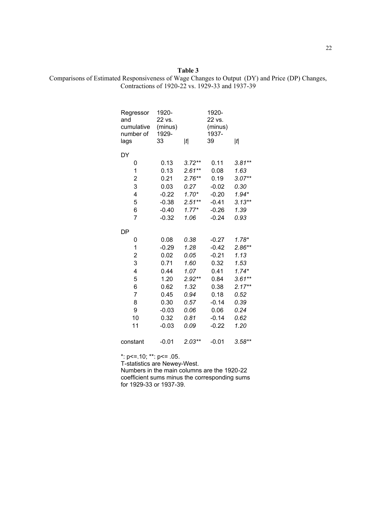**Table 3** Comparisons of Estimated Responsiveness of Wage Changes to Output (DY) and Price (DP) Changes, Contractions of 1920-22 vs. 1929-33 and 1937-39

| Regressor<br>and<br>cumulative<br>number of<br>lags | 1920-<br>22 vs.<br>(minus)<br>1929-<br>33 | t        | 1920-<br>22 vs.<br>(minus)<br>1937-<br>39 | t        |
|-----------------------------------------------------|-------------------------------------------|----------|-------------------------------------------|----------|
| DY                                                  |                                           |          |                                           |          |
| 0                                                   | 0.13                                      | $3.72**$ | 0.11                                      | $3.81**$ |
| 1                                                   | 0.13                                      | $2.61**$ | 0.08                                      | 1.63     |
| $\overline{\mathbf{c}}$                             | 0.21                                      | $2.76**$ | 0.19                                      | $3.07**$ |
| 3                                                   | 0.03                                      | 0.27     | $-0.02$                                   | 0.30     |
| 4                                                   | $-0.22$                                   | $1.70*$  | $-0.20$                                   | $1.94*$  |
| 5                                                   | $-0.38$                                   | $2.51**$ | $-0.41$                                   | $3.13**$ |
| 6                                                   | $-0.40$                                   | $1.77*$  | $-0.26$                                   | 1.39     |
| $\overline{7}$                                      | $-0.32$                                   | 1.06     | $-0.24$                                   | 0.93     |
| DP                                                  |                                           |          |                                           |          |
| 0                                                   | 0.08                                      | 0.38     | $-0.27$                                   | $1.78*$  |
| 1                                                   | $-0.29$                                   | 1.28     | $-0.42$                                   | $2.86**$ |
| $\overline{\mathbf{c}}$                             | 0.02                                      | 0.05     | $-0.21$                                   | 1.13     |
| 3                                                   | 0.71                                      | 1.60     | 0.32                                      | 1.53     |
| $\overline{\mathbf{4}}$                             | 0.44                                      | 1.07     | 0.41                                      | $1.74*$  |
| 5                                                   | 1.20                                      | $2.92**$ | 0.84                                      | $3.61**$ |
| 6                                                   | 0.62                                      | 1.32     | 0.38                                      | $2.17**$ |
| $\overline{7}$                                      | 0.45                                      | 0.94     | 0.18                                      | 0.52     |
| 8                                                   | 0.30                                      | 0.57     | $-0.14$                                   | 0.39     |
| 9                                                   | $-0.03$                                   | 0.06     | 0.06                                      | 0.24     |
| 10                                                  | 0.32                                      | 0.81     | $-0.14$                                   | 0.62     |
| 11                                                  | $-0.03$                                   | 0.09     | $-0.22$                                   | 1.20     |
| constant                                            | $-0.01$                                   | $2.03**$ | $-0.01$                                   | $3.58**$ |

\*: p<=.10; \*\*: p<= .05.

T-statistics are Newey-West.

Numbers in the main columns are the 1920-22 coefficient sums minus the corresponding sums for 1929-33 or 1937-39.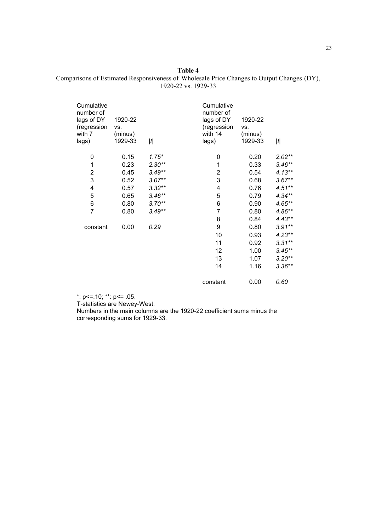### **Table 4** Comparisons of Estimated Responsiveness of Wholesale Price Changes to Output Changes (DY), 1920-22 vs. 1929-33

| 1920-22<br>VS.<br>(minus)<br>1929-33 | t        | Cumulative<br>number of<br>lags of DY<br>(regression<br>with 14<br>lags) | 1920-22<br>VS.<br>(minus)<br>1929-33 | t         |
|--------------------------------------|----------|--------------------------------------------------------------------------|--------------------------------------|-----------|
| 0.15                                 | $1.75*$  | 0                                                                        | 0.20                                 | $2.02**$  |
| 0.23                                 | $2.30**$ | 1                                                                        | 0.33                                 | $3.46**$  |
| 0.45                                 | $3.49**$ | 2                                                                        | 0.54                                 | $4.13***$ |
| 0.52                                 | $3.07**$ | 3                                                                        | 0.68                                 | $3.67**$  |
| 0.57                                 | $3.32**$ | 4                                                                        | 0.76                                 | $4.51***$ |
| 0.65                                 | $3.46**$ | 5                                                                        | 0.79                                 | $4.34**$  |
| 0.80                                 | $3.70**$ | 6                                                                        | 0.90                                 | $4.65***$ |
| 0.80                                 | $3.49**$ | $\overline{7}$                                                           | 0.80                                 | $4.86**$  |
|                                      |          | 8                                                                        | 0.84                                 | $4.43**$  |
| 0.00                                 | 0.29     | 9                                                                        | 0.80                                 | $3.91**$  |
|                                      |          | 10                                                                       | 0.93                                 | $4.23**$  |
|                                      |          | 11                                                                       | 0.92                                 | $3.31**$  |
|                                      |          | 12                                                                       | 1.00                                 | $3.45***$ |
|                                      |          | 13                                                                       | 1.07                                 | $3.20**$  |
|                                      |          | 14                                                                       | 1.16                                 | $3.36**$  |
|                                      |          | constant                                                                 | 0.00                                 | 0.60      |
|                                      |          |                                                                          |                                      |           |

\*: p<=.10; \*\*: p<= .05.

T-statistics are Newey-West.

Numbers in the main columns are the 1920-22 coefficient sums minus the corresponding sums for 1929-33.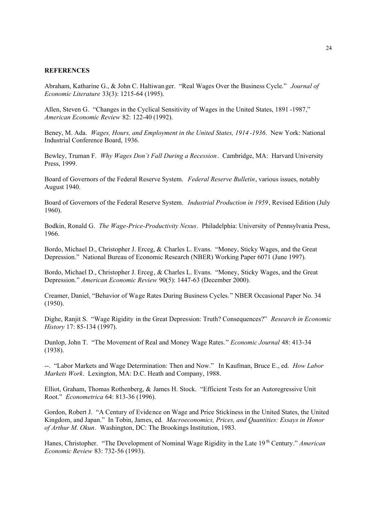#### **REFERENCES**

Abraham, Katharine G., & John C. Haltiwan ger. "Real Wages Over the Business Cycle." *Journal of Economic Literature* 33(3): 1215-64 (1995).

Allen, Steven G. "Changes in the Cyclical Sensitivity of Wages in the United States, 1891 -1987," *American Economic Review* 82: 122-40 (1992).

Beney, M. Ada. *Wages, Hours, and Employment in the United States, 1914 -1936*. New York: National Industrial Conference Board, 1936.

Bewley, Truman F. *Why Wages Don't Fall During a Recession*. Cambridge, MA: Harvard University Press, 1999.

Board of Governors of the Federal Reserve System. *Federal Reserve Bulletin*, various issues, notably August 1940.

Board of Governors of the Federal Reserve System. *Industrial Production in 1959*, Revised Edition (July 1960).

Bodkin, Ronald G. *The Wage-Price-Productivity Nexus*. Philadelphia: University of Pennsylvania Press, 1966.

Bordo, Michael D., Christopher J. Erceg, & Charles L. Evans. "Money, Sticky Wages, and the Great Depression." National Bureau of Economic Research (NBER) Working Paper 6071 (June 1997).

Bordo, Michael D., Christopher J. Erceg, & Charles L. Evans. "Money, Sticky Wages, and the Great Depression." *American Economic Review* 90(5): 1447-63 (December 2000).

Creamer, Daniel, "Behavior of Wage Rates During Business Cycles." NBER Occasional Paper No. 34 (1950).

Dighe, Ranjit S. "Wage Rigidity in the Great Depression: Truth? Consequences?" *Research in Economic History* 17: 85-134 (1997).

Dunlop, John T. "The Movement of Real and Money Wage Rates." *Economic Journal* 48: 413-34 (1938).

--. "Labor Markets and Wage Determination: Then and Now." In Kaufman, Bruce E., ed. *How Labor Markets Work*. Lexington, MA: D.C. Heath and Company, 1988.

Elliot, Graham, Thomas Rothenberg, & James H. Stock. "Efficient Tests for an Autoregressive Unit Root." *Econometrica* 64: 813-36 (1996).

Gordon, Robert J. "A Century of Evidence on Wage and Price Stickiness in the United States, the United Kingdom, and Japan." In Tobin, James, ed. *Macroeconomics, Prices, and Quantities: Essays in Honor of Arthur M. Okun*. Washington, DC: The Brookings Institution, 1983.

Hanes, Christopher. "The Development of Nominal Wage Rigidity in the Late 19<sup>th</sup> Century." *American Economic Review* 83: 732-56 (1993).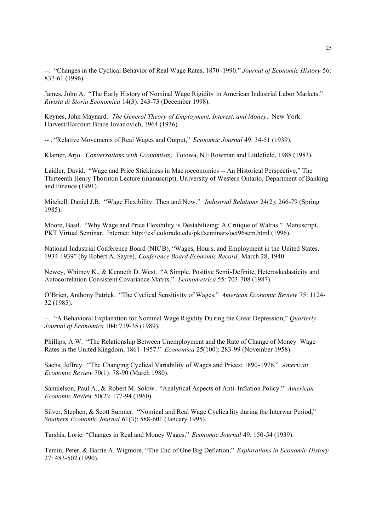--. "Changes in the Cyclical Behavior of Real Wage Rates, 1870 -1990." *Journal of Economic History* 56: 837-61 (1996).

James, John A. "The Early History of Nominal Wage Rigidity in American Industrial Labor Markets." *Rivista di Storia Economica* 14(3): 243-73 (December 1998).

Keynes, John Maynard. *The General Theory of Employment, Interest, and Money*. New York: Harvest/Harcourt Brace Jovanovich, 1964 (1936).

-- . "Relative Movements of Real Wages and Output," *Economic Journal* 49: 34-51 (1939).

Klamer, Arjo. *Conversations with Economists*. Totowa, NJ: Rowman and Littlefield, 1988 (1983).

Laidler, David. "Wage and Price Stickiness in Mac roeconomics -- An Historical Perspective," The Thirteenth Henry Thornton Lecture (manuscript), University of Western Ontario, Department of Banking and Finance (1991).

Mitchell, Daniel J.B. "Wage Flexibility: Then and Now." *Industrial Relations* 24(2): 266-79 (Spring 1985).

Moore, Basil. "Why Wage and Price Flexibility is Destabilizing: A Critique of Walras." Manuscript, PKT Virtual Seminar. Internet: http://csf.colorado.edu/pkt/seminars/oct96sem.html (1996).

National Industrial Conference Board (NICB), "Wages, Hours, and Employment in the United States, 1934-1939" (by Robert A. Sayre), *Conference Board Economic Record*, March 28, 1940.

Newey, Whitney K., & Kenneth D. West. "A Simple, Positive Semi-Definite, Heteroskedasticity and Autocorrelation Consistent Covariance Matrix." *Econometrica* 55: 703-708 (1987).

O'Brien, Anthony Patrick. "The Cyclical Sensitivity of Wages," *American Economic Review* 75: 1124- 32 (1985).

--. "A Behavioral Explanation for Nominal Wage Rigidity Du ring the Great Depression," *Quarterly Journal of Economics* 104: 719-35 (1989).

Phillips, A.W. "The Relationship Between Unemployment and the Rate of Change of Money Wage Rates in the United Kingdom, 1861-1957." *Economica* 25(100): 283-99 (November 1958).

Sachs, Jeffrey. "The Changing Cyclical Variability of Wages and Prices: 1890-1976." *American Economic Review* 70(1): 78-90 (March 1980).

Samuelson, Paul A., & Robert M. Solow. "Analytical Aspects of Anti-Inflation Policy." *American Economic Review* 50(2): 177-94 (1960).

Silver, Stephen, & Scott Sumner. "Nominal and Real Wage Cyclica lity during the Interwar Period," *Southern Economic Journal* 61(3): 588-601 (January 1995).

Tarshis, Lorie. "Changes in Real and Money Wages," *Economic Journal* 49: 150-54 (1939).

Temin, Peter, & Barrie A. Wigmore. "The End of One Big Deflation," *Explorations in Economic History* 27: 483-502 (1990).